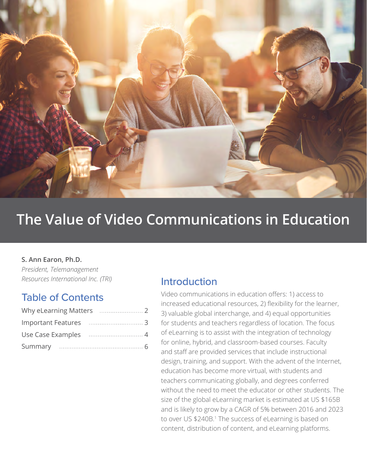

# **The Value of Video Communications in Education**

#### **S. Ann Earon, Ph.D.**

*President, Telemanagement Resources International Inc. (TRI)*

### Table of Contents

### Introduction

Video communications in education offers: 1) access to increased educational resources, 2) flexibility for the learner, 3) valuable global interchange, and 4) equal opportunities for students and teachers regardless of location. The focus of eLearning is to assist with the integration of technology for online, hybrid, and classroom-based courses. Faculty and staff are provided services that include instructional design, training, and support. With the advent of the Internet, education has become more virtual, with students and teachers communicating globally, and degrees conferred without the need to meet the educator or other students. The size of the global eLearning market is estimated at US \$165B and is likely to grow by a CAGR of 5% between 2016 and 2023 to over US \$240B.<sup>1</sup> The success of eLearning is based on content, distribution of content, and eLearning platforms.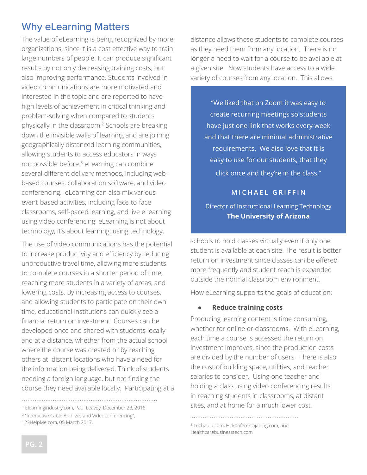# Why eLearning Matters

The value of eLearning is being recognized by more organizations, since it is a cost effective way to train large numbers of people. It can produce significant results by not only decreasing training costs, but also improving performance. Students involved in video communications are more motivated and interested in the topic and are reported to have high levels of achievement in critical thinking and problem-solving when compared to students physically in the classroom.2 Schools are breaking down the invisible walls of learning and are joining geographically distanced learning communities, allowing students to access educators in ways not possible before.<sup>3</sup> eLearning can combine several different delivery methods, including webbased courses, collaboration software, and video conferencing. eLearning can also mix various event-based activities, including face-to-face classrooms, self-paced learning, and live eLearning using video conferencing. eLearning is not about technology, it's about learning, using technology.

The use of video communications has the potential to increase productivity and efficiency by reducing unproductive travel time, allowing more students to complete courses in a shorter period of time, reaching more students in a variety of areas, and lowering costs. By increasing access to courses, and allowing students to participate on their own time, educational institutions can quickly see a financial return on investment. Courses can be developed once and shared with students locally and at a distance, whether from the actual school where the course was created or by reaching others at distant locations who have a need for the information being delivered. Think of students needing a foreign language, but not finding the course they need available locally. Participating at a

distance allows these students to complete courses as they need them from any location. There is no longer a need to wait for a course to be available at a given site. Now students have access to a wide variety of courses from any location. This allows

"We liked that on Zoom it was easy to create recurring meetings so students have just one link that works every week and that there are minimal administrative requirements. We also love that it is easy to use for our students, that they click once and they're in the class."

#### **MICHAEL GRIFFIN**

Director of Instructional Learning Technology **The University of Arizona**

schools to hold classes virtually even if only one student is available at each site. The result is better return on investment since classes can be offered more frequently and student reach is expanded outside the normal classroom environment.

How eLearning supports the goals of education:

#### ● **Reduce training costs**

Producing learning content is time consuming, whether for online or classrooms. With eLearning, each time a course is accessed the return on investment improves, since the production costs are divided by the number of users. There is also the cost of building space, utilities, and teacher salaries to consider. Using one teacher and holding a class using video conferencing results in reaching students in classrooms, at distant <sup>1</sup> Elearningindustry.com, Paul Leavoy, December 23, 2016. Sites, and at home for a much lower cost.

<sup>&</sup>lt;sup>2</sup> "Interactive Cable Archives and Videoconferencing",

<sup>123</sup>HelpMe.com, 05 March 2017. 3TechZulu.com, Hitkonferencijablog.com, and Healthcarebusinesstech.com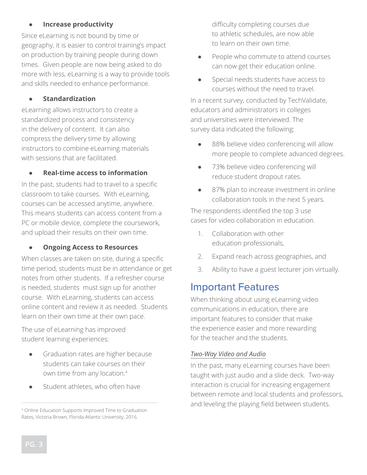#### ● **Increase productivity**

Since eLearning is not bound by time or geography, it is easier to control training's impact on production by training people during down times. Given people are now being asked to do more with less, eLearning is a way to provide tools and skills needed to enhance performance.

#### ● **Standardization**

eLearning allows instructors to create a standardized process and consistency in the delivery of content. It can also compress the delivery time by allowing instructors to combine eLearning materials with sessions that are facilitated.

#### ● **Real-time access to information**

In the past, students had to travel to a specific classroom to take courses. With eLearning, courses can be accessed anytime, anywhere. This means students can access content from a PC or mobile device, complete the coursework, and upload their results on their own time.

#### **Ongoing Access to Resources**

When classes are taken on site, during a specific time period, students must be in attendance or get notes from other students. If a refresher course is needed, students must sign up for another course. With eLearning, students can access online content and review it as needed. Students learn on their own time at their own pace.

The use of eLearning has improved student learning experiences:

- Graduation rates are higher because students can take courses on their own time from any location.4
- Student athletes, who often have

difficulty completing courses due to athletic schedules, are now able to learn on their own time.

- People who commute to attend courses can now get their education online.
- Special needs students have access to courses without the need to travel.

In a recent survey, conducted by TechValidate, educators and administrators in colleges and universities were interviewed. The survey data indicated the following:

- 88% believe video conferencing will allow more people to complete advanced degrees.
- 73% believe video conferencing will reduce student dropout rates.
- 87% plan to increase investment in online collaboration tools in the next 5 years.

The respondents identified the top 3 use cases for video collaboration in education.

- 1. Collaboration with other education professionals,
- 2. Expand reach across geographies, and
- 3. Ability to have a guest lecturer join virtually.

## Important Features

When thinking about using eLearning video communications in education, there are important features to consider that make the experience easier and more rewarding for the teacher and the students.

#### *Two-Way Video and Audio*

In the past, many eLearning courses have been taught with just audio and a slide deck. Two-way interaction is crucial for increasing engagement between remote and local students and professors, and leveling the playing field between students.

<sup>4</sup> Online Education Supports Improved Time to Graduation Rates, Victoria Brown, Florida Atlantic University, 2016.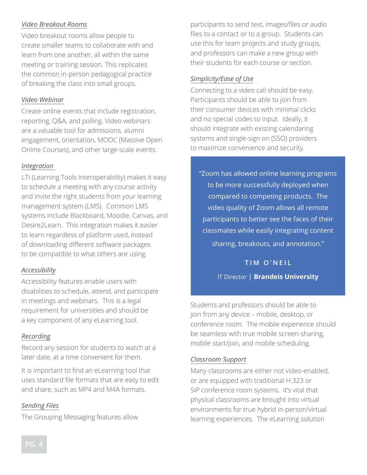#### *Video Breakout Rooms*

Video breakout rooms allow people to create smaller teams to collaborate with and learn from one another, all within the same meeting or training session. This replicates the common in-person pedagogical practice of breaking the class into small groups.

#### *Video Webinar*

Create online events that include registration, reporting, Q&A, and polling. Video webinars are a valuable tool for admissions, alumni engagement, orientation, MOOC (Massive Open Online Courses), and other large-scale events.

#### *Integration*

LTI (Learning Tools Interoperability) makes it easy to schedule a meeting with any course activity and invite the right students from your learning management system (LMS). Common LMS systems include Blackboard, Moodle, Canvas, and Desire2Learn. This integration makes it easier to learn regardless of platform used, instead of downloading different software packages to be compatible to what others are using.

#### *Accessibility*

Accessibility features enable users with disabilities to schedule, attend, and participate in meetings and webinars. This is a legal requirement for universities and should be a key component of any eLearning tool.

#### *Recording*

Record any session for students to watch at a later date, at a time convenient for them.

It is important to find an eLearning tool that uses standard file formats that are easy to edit and share, such as MP4 and M4A formats.

#### *Sending Files*

The Grouping Messaging features allow

participants to send text, images/files or audio files to a contact or to a group. Students can use this for team projects and study groups, and professors can make a new group with their students for each course or section.

#### *Simplicity/Ease of Use*

Connecting to a video call should be easy. Participants should be able to join from their consumer devices with minimal clicks and no special codes to input. Ideally, it should integrate with existing calendaring systems and single-sign on (SSO) providers to maximize convenience and security.

"Zoom has allowed online learning programs to be more successfully deployed when compared to competing products. The video quality of Zoom allows all remote participants to better see the faces of their classmates while easily integrating content sharing, breakouts, and annotation."

> **TIM O'NEIL** IT Director | **Brandeis University**

Students and professors should be able to join from any device – mobile, desktop, or conference room. The mobile experience should be seamless with true mobile screen-sharing, mobile start/join, and mobile scheduling.

#### *Classroom Support*

Many classrooms are either not video-enabled, or are equipped with traditional H.323 or SIP conference room systems. It's vital that physical classrooms are brought into virtual environments for true hybrid in-person/virtual learning experiences. The eLearning solution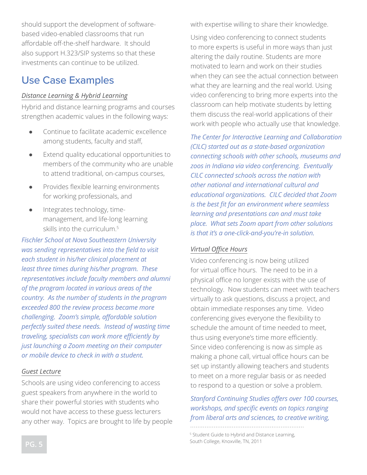should support the development of softwarebased video-enabled classrooms that run affordable off-the-shelf hardware. It should also support H.323/SIP systems so that these investments can continue to be utilized.

# Use Case Examples

#### *Distance Learning & Hybrid Learning*

Hybrid and distance learning programs and courses strengthen academic values in the following ways:

- Continue to facilitate academic excellence among students, faculty and staff,
- Extend quality educational opportunities to members of the community who are unable to attend traditional, on-campus courses,
- Provides flexible learning environments for working professionals, and
- Integrates technology, timemanagement, and life-long learning skills into the curriculum.5

*Fischler School at Nova Southeastern University was sending representatives into the field to visit each student in his/her clinical placement at least three times during his/her program. These representatives include faculty members and alumni of the program located in various areas of the country. As the number of students in the program exceeded 800 the review process became more challenging. Zoom's simple, affordable solution perfectly suited these needs. Instead of wasting time traveling, specialists can work more efficiently by just launching a Zoom meeting on their computer or mobile device to check in with a student.*

#### *Guest Lecture*

Schools are using video conferencing to access guest speakers from anywhere in the world to share their powerful stories with students who would not have access to these guess lecturers any other way. Topics are brought to life by people with expertise willing to share their knowledge.

Using video conferencing to connect students to more experts is useful in more ways than just altering the daily routine. Students are more motivated to learn and work on their studies when they can see the actual connection between what they are learning and the real world. Using video conferencing to bring more experts into the classroom can help motivate students by letting them discuss the real-world applications of their work with people who actually use that knowledge.

*The Center for Interactive Learning and Collaboration (CILC) started out as a state-based organization connecting schools with other schools, museums and zoos in Indiana via video conferencing. Eventually CILC connected schools across the nation with other national and international cultural and educational organizations. CILC decided that Zoom is the best fit for an environment where seamless learning and presentations can and must take place. What sets Zoom apart from other solutions is that it's a one-click-and-you're-in solution.* 

#### *Virtual Office Hours*

Video conferencing is now being utilized for virtual office hours. The need to be in a physical office no longer exists with the use of technology. Now students can meet with teachers virtually to ask questions, discuss a project, and obtain immediate responses any time. Video conferencing gives everyone the flexibility to schedule the amount of time needed to meet, thus using everyone's time more efficiently. Since video conferencing is now as simple as making a phone call, virtual office hours can be set up instantly allowing teachers and students to meet on a more regular basis or as needed to respond to a question or solve a problem.

*Stanford Continuing Studies offers over 100 courses, workshops, and specific events on topics ranging from liberal arts and sciences, to creative writing,* 

5 Student Guide to Hybrid and Distance Learning, South College, Knoxville, TN, 2011